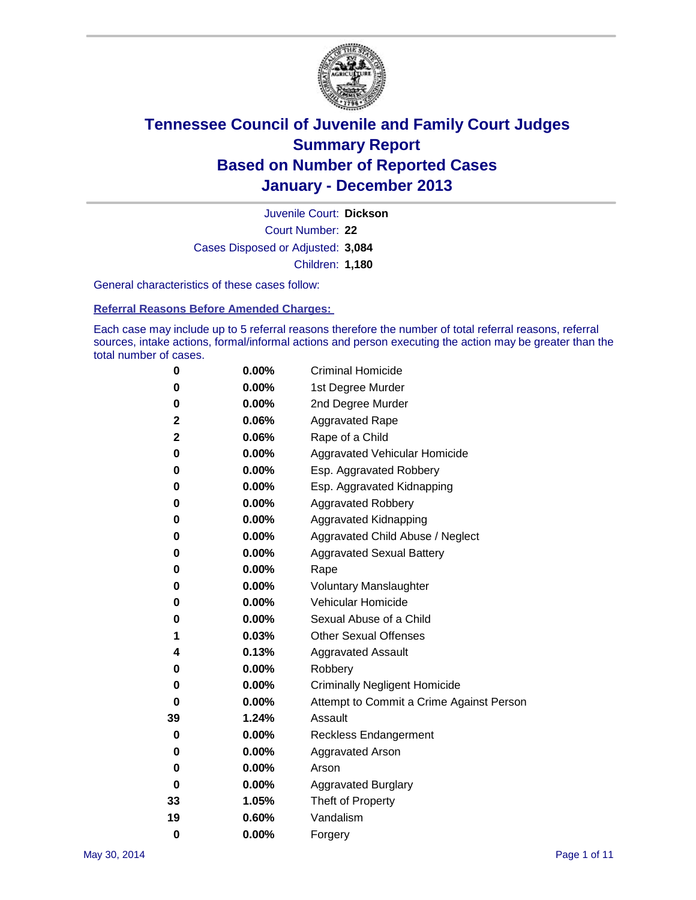

Court Number: **22** Juvenile Court: **Dickson** Cases Disposed or Adjusted: **3,084** Children: **1,180**

General characteristics of these cases follow:

**Referral Reasons Before Amended Charges:** 

Each case may include up to 5 referral reasons therefore the number of total referral reasons, referral sources, intake actions, formal/informal actions and person executing the action may be greater than the total number of cases.

| 0        | $0.00\%$ | <b>Criminal Homicide</b>                 |  |  |
|----------|----------|------------------------------------------|--|--|
| 0        | 0.00%    | 1st Degree Murder                        |  |  |
| 0        | 0.00%    | 2nd Degree Murder                        |  |  |
| 2        | 0.06%    | <b>Aggravated Rape</b>                   |  |  |
| 2        | 0.06%    | Rape of a Child                          |  |  |
| 0        | 0.00%    | <b>Aggravated Vehicular Homicide</b>     |  |  |
| 0        | $0.00\%$ | Esp. Aggravated Robbery                  |  |  |
| 0        | 0.00%    | Esp. Aggravated Kidnapping               |  |  |
| 0        | 0.00%    | <b>Aggravated Robbery</b>                |  |  |
| 0        | $0.00\%$ | Aggravated Kidnapping                    |  |  |
| 0        | 0.00%    | Aggravated Child Abuse / Neglect         |  |  |
| 0        | 0.00%    | <b>Aggravated Sexual Battery</b>         |  |  |
| 0        | $0.00\%$ | Rape                                     |  |  |
| 0        | 0.00%    | <b>Voluntary Manslaughter</b>            |  |  |
| 0        | 0.00%    | Vehicular Homicide                       |  |  |
| 0        | $0.00\%$ | Sexual Abuse of a Child                  |  |  |
| 1        | 0.03%    | <b>Other Sexual Offenses</b>             |  |  |
| 4        | 0.13%    | <b>Aggravated Assault</b>                |  |  |
| 0        | 0.00%    | Robbery                                  |  |  |
| 0        | 0.00%    | <b>Criminally Negligent Homicide</b>     |  |  |
| 0        | 0.00%    | Attempt to Commit a Crime Against Person |  |  |
| 39       | 1.24%    | Assault                                  |  |  |
| 0        | 0.00%    | <b>Reckless Endangerment</b>             |  |  |
| 0        | 0.00%    | <b>Aggravated Arson</b>                  |  |  |
| 0        | $0.00\%$ | Arson                                    |  |  |
| 0        | 0.00%    | <b>Aggravated Burglary</b>               |  |  |
| 33       | 1.05%    | Theft of Property                        |  |  |
| 19       | $0.60\%$ | Vandalism                                |  |  |
| $\bf{0}$ | 0.00%    | Forgery                                  |  |  |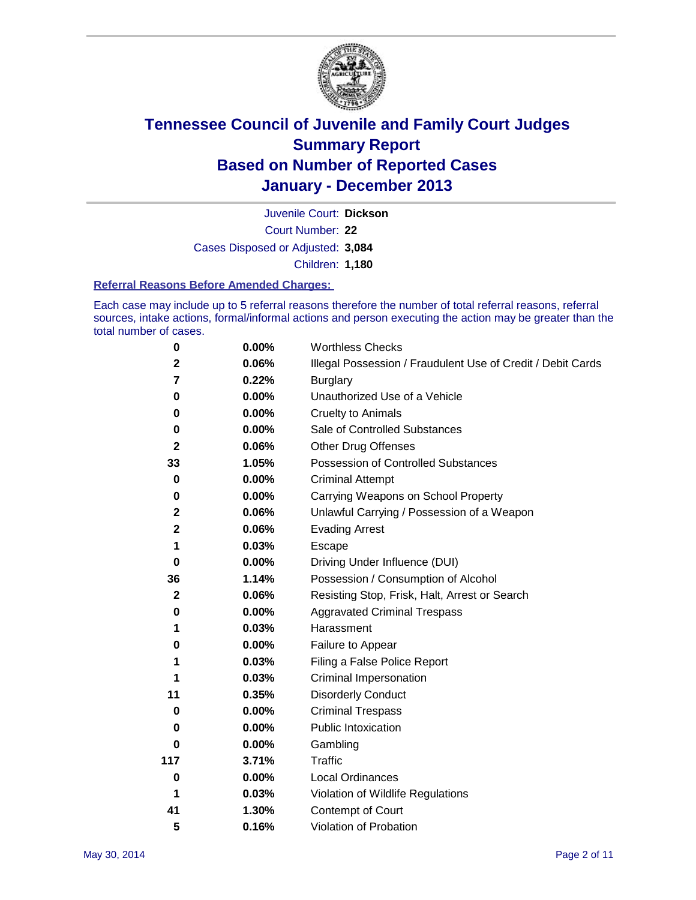

Court Number: **22** Juvenile Court: **Dickson** Cases Disposed or Adjusted: **3,084** Children: **1,180**

#### **Referral Reasons Before Amended Charges:**

Each case may include up to 5 referral reasons therefore the number of total referral reasons, referral sources, intake actions, formal/informal actions and person executing the action may be greater than the total number of cases.

| 0            | 0.00%    | <b>Worthless Checks</b>                                     |  |  |
|--------------|----------|-------------------------------------------------------------|--|--|
| $\mathbf 2$  | 0.06%    | Illegal Possession / Fraudulent Use of Credit / Debit Cards |  |  |
| 7            | 0.22%    | <b>Burglary</b>                                             |  |  |
| 0            | 0.00%    | Unauthorized Use of a Vehicle                               |  |  |
| 0            | 0.00%    | <b>Cruelty to Animals</b>                                   |  |  |
| 0            | 0.00%    | Sale of Controlled Substances                               |  |  |
| $\mathbf{2}$ | 0.06%    | <b>Other Drug Offenses</b>                                  |  |  |
| 33           | 1.05%    | Possession of Controlled Substances                         |  |  |
| 0            | 0.00%    | <b>Criminal Attempt</b>                                     |  |  |
| 0            | 0.00%    | Carrying Weapons on School Property                         |  |  |
| $\mathbf 2$  | 0.06%    | Unlawful Carrying / Possession of a Weapon                  |  |  |
| $\mathbf 2$  | 0.06%    | <b>Evading Arrest</b>                                       |  |  |
| 1            | 0.03%    | Escape                                                      |  |  |
| 0            | 0.00%    | Driving Under Influence (DUI)                               |  |  |
| 36           | 1.14%    | Possession / Consumption of Alcohol                         |  |  |
| $\mathbf{2}$ | 0.06%    | Resisting Stop, Frisk, Halt, Arrest or Search               |  |  |
| 0            | 0.00%    | <b>Aggravated Criminal Trespass</b>                         |  |  |
| 1            | 0.03%    | Harassment                                                  |  |  |
| 0            | 0.00%    | Failure to Appear                                           |  |  |
| 1            | 0.03%    | Filing a False Police Report                                |  |  |
| 1            | 0.03%    | Criminal Impersonation                                      |  |  |
| 11           | 0.35%    | <b>Disorderly Conduct</b>                                   |  |  |
| 0            | 0.00%    | <b>Criminal Trespass</b>                                    |  |  |
| 0            | 0.00%    | <b>Public Intoxication</b>                                  |  |  |
| 0            | 0.00%    | Gambling                                                    |  |  |
| 117          | 3.71%    | Traffic                                                     |  |  |
| $\bf{0}$     | $0.00\%$ | <b>Local Ordinances</b>                                     |  |  |
| 1            | 0.03%    | Violation of Wildlife Regulations                           |  |  |
| 41           | 1.30%    | Contempt of Court                                           |  |  |
| 5            | 0.16%    | Violation of Probation                                      |  |  |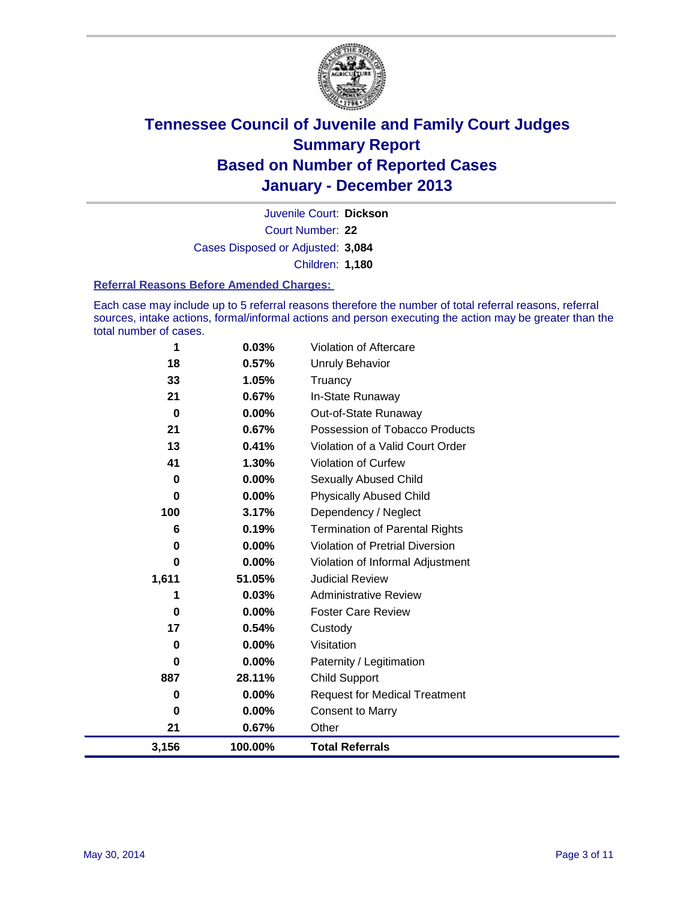

Court Number: **22** Juvenile Court: **Dickson** Cases Disposed or Adjusted: **3,084** Children: **1,180**

#### **Referral Reasons Before Amended Charges:**

Each case may include up to 5 referral reasons therefore the number of total referral reasons, referral sources, intake actions, formal/informal actions and person executing the action may be greater than the total number of cases.

| 1        | 0.03%   | Violation of Aftercare                 |
|----------|---------|----------------------------------------|
| 18       | 0.57%   | <b>Unruly Behavior</b>                 |
| 33       | 1.05%   | Truancy                                |
| 21       | 0.67%   | In-State Runaway                       |
| $\bf{0}$ | 0.00%   | Out-of-State Runaway                   |
| 21       | 0.67%   | Possession of Tobacco Products         |
| 13       | 0.41%   | Violation of a Valid Court Order       |
| 41       | 1.30%   | Violation of Curfew                    |
| 0        | 0.00%   | Sexually Abused Child                  |
| 0        | 0.00%   | <b>Physically Abused Child</b>         |
| 100      | 3.17%   | Dependency / Neglect                   |
| 6        | 0.19%   | <b>Termination of Parental Rights</b>  |
| 0        | 0.00%   | <b>Violation of Pretrial Diversion</b> |
| 0        | 0.00%   | Violation of Informal Adjustment       |
| 1,611    | 51.05%  | <b>Judicial Review</b>                 |
| 1        | 0.03%   | <b>Administrative Review</b>           |
| 0        | 0.00%   | <b>Foster Care Review</b>              |
| 17       | 0.54%   | Custody                                |
| 0        | 0.00%   | Visitation                             |
| 0        | 0.00%   | Paternity / Legitimation               |
| 887      | 28.11%  | <b>Child Support</b>                   |
| 0        | 0.00%   | <b>Request for Medical Treatment</b>   |
| 0        | 0.00%   | <b>Consent to Marry</b>                |
| 21       | 0.67%   | Other                                  |
| 3,156    | 100.00% | <b>Total Referrals</b>                 |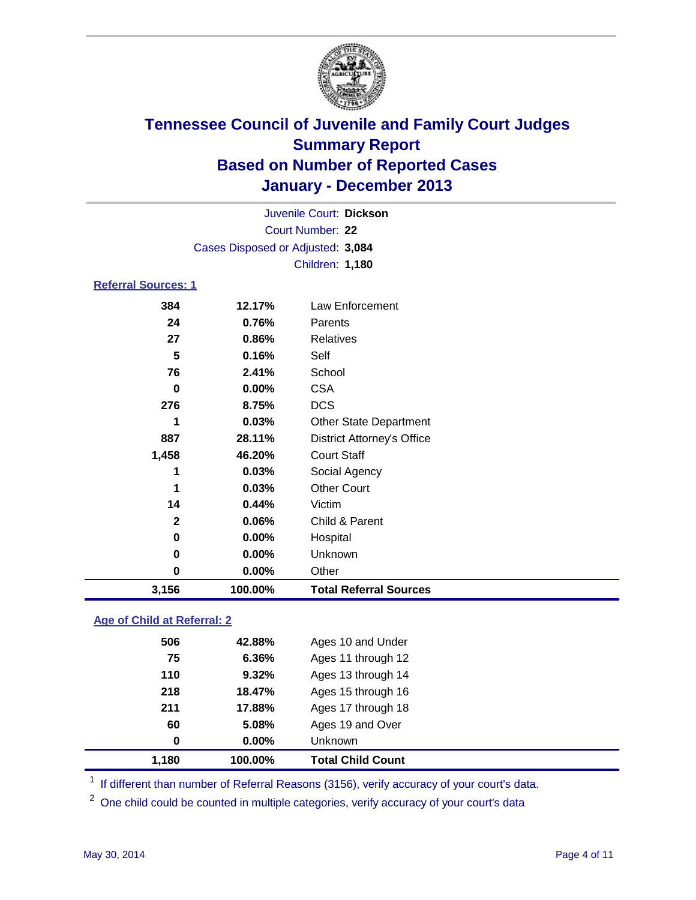

| Juvenile Court: Dickson                            |                                   |                    |  |  |  |
|----------------------------------------------------|-----------------------------------|--------------------|--|--|--|
|                                                    | Court Number: 22                  |                    |  |  |  |
|                                                    | Cases Disposed or Adjusted: 3,084 |                    |  |  |  |
|                                                    |                                   | Children: 1,180    |  |  |  |
|                                                    | <b>Referral Sources: 1</b>        |                    |  |  |  |
| 384                                                | 12.17%                            | Law Enforcement    |  |  |  |
| 24                                                 | 0.76%                             | Parents            |  |  |  |
| 27                                                 | 0.86%                             | <b>Relatives</b>   |  |  |  |
| 5                                                  | 0.16%                             | Self               |  |  |  |
| 76                                                 | 2.41%                             | School             |  |  |  |
| <b>CSA</b><br>0.00%<br>0                           |                                   |                    |  |  |  |
| 276<br>8.75%                                       |                                   | <b>DCS</b>         |  |  |  |
| 0.03%<br>1<br><b>Other State Department</b>        |                                   |                    |  |  |  |
| 887<br>28.11%<br><b>District Attorney's Office</b> |                                   |                    |  |  |  |
| <b>Court Staff</b><br>1,458<br>46.20%              |                                   |                    |  |  |  |
| 1                                                  | 0.03%                             | Social Agency      |  |  |  |
| 1                                                  | 0.03%                             | <b>Other Court</b> |  |  |  |
| 14                                                 | 0.44%                             | Victim             |  |  |  |
| $\mathbf{2}$<br>0.06%<br>Child & Parent            |                                   |                    |  |  |  |
| 0                                                  | 0.00%                             | Hospital           |  |  |  |
| 0                                                  | 0.00%                             | Unknown            |  |  |  |
| 0                                                  | 0.00%                             | Other              |  |  |  |
| 3,156<br>100.00%<br><b>Total Referral Sources</b>  |                                   |                    |  |  |  |

### **Age of Child at Referral: 2**

| 1.180 | 100.00%  | <b>Total Child Count</b> |
|-------|----------|--------------------------|
| 0     | $0.00\%$ | <b>Unknown</b>           |
| 60    | 5.08%    | Ages 19 and Over         |
| 211   | 17.88%   | Ages 17 through 18       |
| 218   | 18.47%   | Ages 15 through 16       |
| 110   | 9.32%    | Ages 13 through 14       |
| 75    | 6.36%    | Ages 11 through 12       |
| 506   | 42.88%   | Ages 10 and Under        |
|       |          |                          |

<sup>1</sup> If different than number of Referral Reasons (3156), verify accuracy of your court's data.

<sup>2</sup> One child could be counted in multiple categories, verify accuracy of your court's data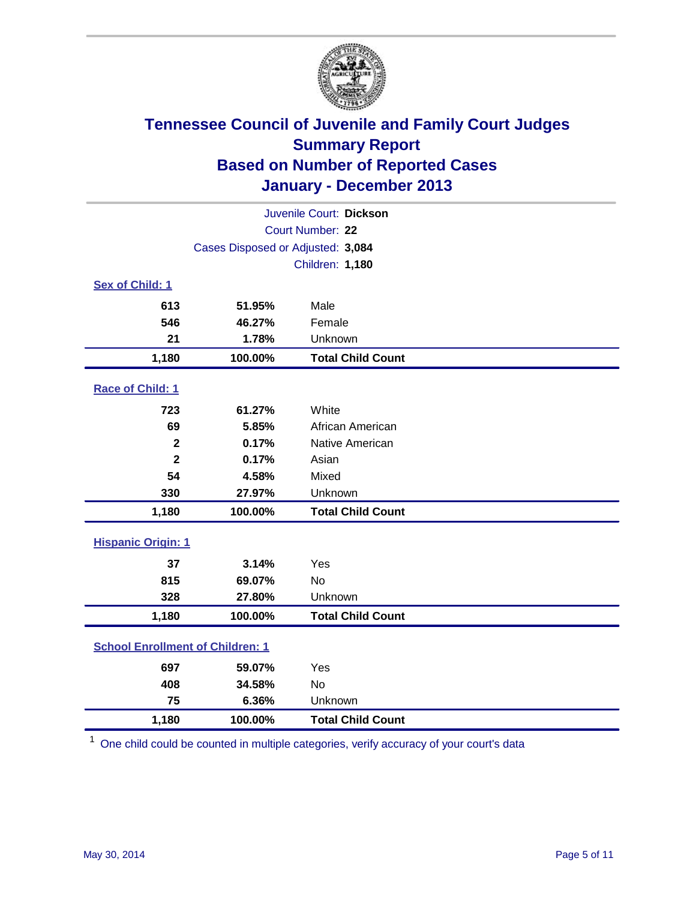

| Juvenile Court: Dickson                          |                                   |                          |  |  |
|--------------------------------------------------|-----------------------------------|--------------------------|--|--|
|                                                  | Court Number: 22                  |                          |  |  |
|                                                  | Cases Disposed or Adjusted: 3,084 |                          |  |  |
|                                                  |                                   | Children: 1,180          |  |  |
| Sex of Child: 1                                  |                                   |                          |  |  |
| 613                                              | 51.95%                            | Male                     |  |  |
| 546                                              | 46.27%                            | Female                   |  |  |
| 21                                               | 1.78%                             | Unknown                  |  |  |
| 1,180                                            | 100.00%                           | <b>Total Child Count</b> |  |  |
| Race of Child: 1                                 |                                   |                          |  |  |
| 723                                              | 61.27%                            | White                    |  |  |
| 69                                               | 5.85%                             | African American         |  |  |
| 0.17%<br>$\mathbf{2}$<br>$\overline{2}$<br>0.17% |                                   | Native American          |  |  |
|                                                  |                                   | Asian                    |  |  |
| 54                                               | 4.58%                             | Mixed                    |  |  |
| 330                                              | 27.97%                            | Unknown                  |  |  |
| 1,180                                            | 100.00%                           | <b>Total Child Count</b> |  |  |
| <b>Hispanic Origin: 1</b>                        |                                   |                          |  |  |
| 37                                               | 3.14%                             | Yes                      |  |  |
| 815                                              | 69.07%                            | <b>No</b>                |  |  |
| 328                                              | 27.80%                            | Unknown                  |  |  |
| 1,180                                            | 100.00%                           | <b>Total Child Count</b> |  |  |
| <b>School Enrollment of Children: 1</b>          |                                   |                          |  |  |
| 697                                              | 59.07%                            | Yes                      |  |  |
| 408                                              | 34.58%                            | <b>No</b>                |  |  |
| 75                                               | 6.36%                             | Unknown                  |  |  |
| 100.00%<br><b>Total Child Count</b><br>1,180     |                                   |                          |  |  |

 $1$  One child could be counted in multiple categories, verify accuracy of your court's data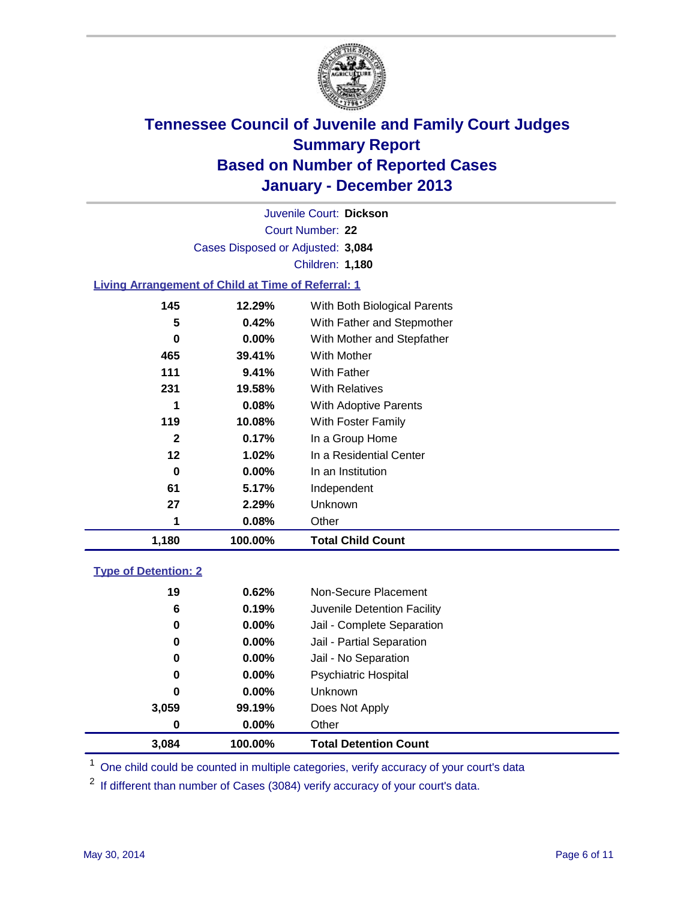

Court Number: **22** Juvenile Court: **Dickson** Cases Disposed or Adjusted: **3,084** Children: **1,180**

### **Living Arrangement of Child at Time of Referral: 1**

| 1,180        | 100.00%  | <b>Total Child Count</b>     |  |
|--------------|----------|------------------------------|--|
|              | 0.08%    | Other                        |  |
| 27           | 2.29%    | Unknown                      |  |
| 61           | 5.17%    | Independent                  |  |
| 0            | $0.00\%$ | In an Institution            |  |
| 12           | 1.02%    | In a Residential Center      |  |
| $\mathbf{2}$ | 0.17%    | In a Group Home              |  |
| 119          | 10.08%   | With Foster Family           |  |
| 1            | 0.08%    | <b>With Adoptive Parents</b> |  |
| 231          | 19.58%   | <b>With Relatives</b>        |  |
| 111          | 9.41%    | With Father                  |  |
| 465          | 39.41%   | With Mother                  |  |
| 0            | 0.00%    | With Mother and Stepfather   |  |
| 5            | 0.42%    | With Father and Stepmother   |  |
| 145          | 12.29%   | With Both Biological Parents |  |
|              |          |                              |  |

#### **Type of Detention: 2**

| 3,084 | 100.00%  | <b>Total Detention Count</b> |  |
|-------|----------|------------------------------|--|
| 0     | $0.00\%$ | Other                        |  |
| 3,059 | 99.19%   | Does Not Apply               |  |
| 0     | $0.00\%$ | <b>Unknown</b>               |  |
| 0     | $0.00\%$ | <b>Psychiatric Hospital</b>  |  |
| 0     | 0.00%    | Jail - No Separation         |  |
| 0     | $0.00\%$ | Jail - Partial Separation    |  |
| 0     | 0.00%    | Jail - Complete Separation   |  |
| 6     | 0.19%    | Juvenile Detention Facility  |  |
| 19    | 0.62%    | Non-Secure Placement         |  |
|       |          |                              |  |

<sup>1</sup> One child could be counted in multiple categories, verify accuracy of your court's data

<sup>2</sup> If different than number of Cases (3084) verify accuracy of your court's data.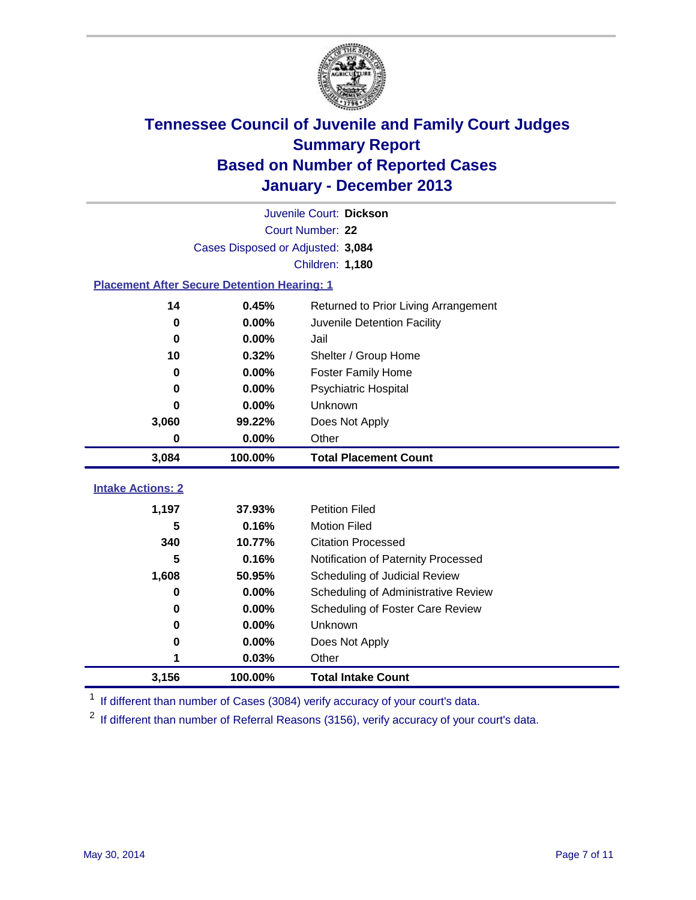

|                                                    | Juvenile Court: Dickson           |                                      |  |  |  |
|----------------------------------------------------|-----------------------------------|--------------------------------------|--|--|--|
|                                                    | Court Number: 22                  |                                      |  |  |  |
|                                                    | Cases Disposed or Adjusted: 3,084 |                                      |  |  |  |
|                                                    |                                   | Children: 1,180                      |  |  |  |
| <b>Placement After Secure Detention Hearing: 1</b> |                                   |                                      |  |  |  |
| 14                                                 | 0.45%                             | Returned to Prior Living Arrangement |  |  |  |
| $\bf{0}$                                           | 0.00%                             | Juvenile Detention Facility          |  |  |  |
| $\bf{0}$                                           | 0.00%                             | Jail                                 |  |  |  |
| 10                                                 | 0.32%                             | Shelter / Group Home                 |  |  |  |
| $\bf{0}$                                           | 0.00%                             | <b>Foster Family Home</b>            |  |  |  |
| $\bf{0}$                                           | 0.00%                             | Psychiatric Hospital                 |  |  |  |
| 0                                                  | 0.00%                             | Unknown                              |  |  |  |
| 3,060                                              | 99.22%                            | Does Not Apply                       |  |  |  |
| $\bf{0}$                                           | 0.00%                             | Other                                |  |  |  |
| 3,084                                              | 100.00%                           | <b>Total Placement Count</b>         |  |  |  |
| <b>Intake Actions: 2</b>                           |                                   |                                      |  |  |  |
|                                                    |                                   |                                      |  |  |  |
| 1,197                                              | 37.93%                            | <b>Petition Filed</b>                |  |  |  |
| 5                                                  | 0.16%                             | <b>Motion Filed</b>                  |  |  |  |
| 340                                                | 10.77%                            | <b>Citation Processed</b>            |  |  |  |
| 5                                                  | 0.16%                             | Notification of Paternity Processed  |  |  |  |
| 1,608                                              | 50.95%                            | Scheduling of Judicial Review        |  |  |  |
| $\bf{0}$                                           | 0.00%                             | Scheduling of Administrative Review  |  |  |  |
| 0                                                  | 0.00%                             | Scheduling of Foster Care Review     |  |  |  |
| $\bf{0}$                                           | 0.00%                             | Unknown                              |  |  |  |
| 0                                                  | 0.00%                             | Does Not Apply                       |  |  |  |
| 1                                                  | 0.03%                             | Other                                |  |  |  |
| 3,156                                              | 100.00%                           | <b>Total Intake Count</b>            |  |  |  |

<sup>1</sup> If different than number of Cases (3084) verify accuracy of your court's data.

 $2$  If different than number of Referral Reasons (3156), verify accuracy of your court's data.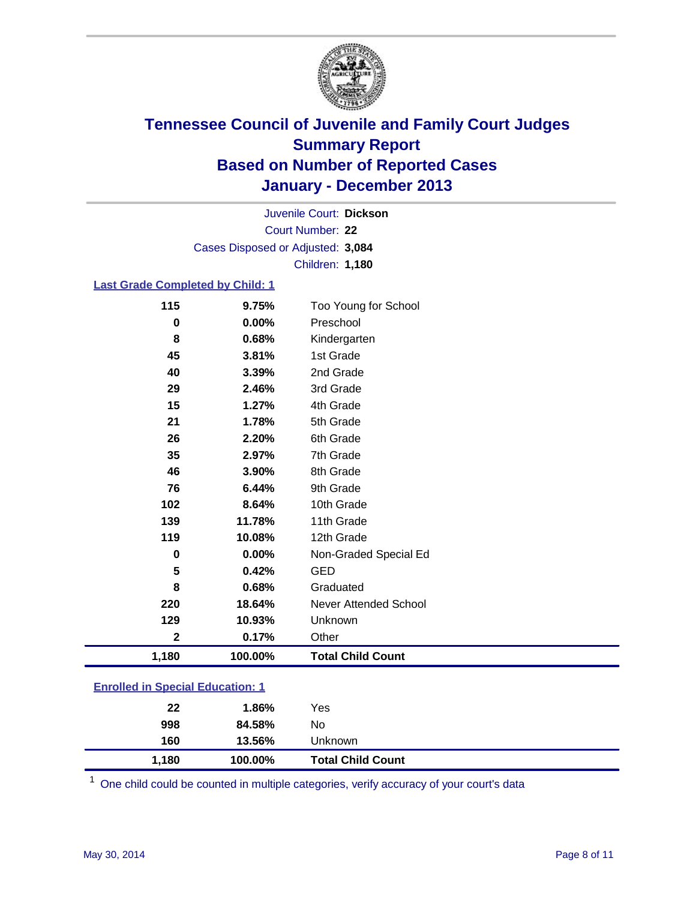

Court Number: **22** Juvenile Court: **Dickson** Cases Disposed or Adjusted: **3,084** Children: **1,180**

#### **Last Grade Completed by Child: 1**

| 115         | 9.75%    | Too Young for School     |
|-------------|----------|--------------------------|
| $\bf{0}$    | $0.00\%$ | Preschool                |
| 8           | 0.68%    | Kindergarten             |
| 45          | 3.81%    | 1st Grade                |
| 40          | 3.39%    | 2nd Grade                |
| 29          | 2.46%    | 3rd Grade                |
| 15          | 1.27%    | 4th Grade                |
| 21          | 1.78%    | 5th Grade                |
| 26          | 2.20%    | 6th Grade                |
| 35          | 2.97%    | 7th Grade                |
| 46          | 3.90%    | 8th Grade                |
| 76          | 6.44%    | 9th Grade                |
| 102         | 8.64%    | 10th Grade               |
| 139         | 11.78%   | 11th Grade               |
| 119         | 10.08%   | 12th Grade               |
| $\bf{0}$    | 0.00%    | Non-Graded Special Ed    |
| 5           | 0.42%    | <b>GED</b>               |
| 8           | 0.68%    | Graduated                |
| 220         | 18.64%   | Never Attended School    |
| 129         | 10.93%   | Unknown                  |
| $\mathbf 2$ | 0.17%    | Other                    |
| 1,180       | 100.00%  | <b>Total Child Count</b> |

### **Enrolled in Special Education: 1**

| 100.00%      | <b>Total Child Count</b> |
|--------------|--------------------------|
| 13.56%       |                          |
| No<br>84.58% |                          |
| Yes<br>1.86% |                          |
|              | Unknown                  |

One child could be counted in multiple categories, verify accuracy of your court's data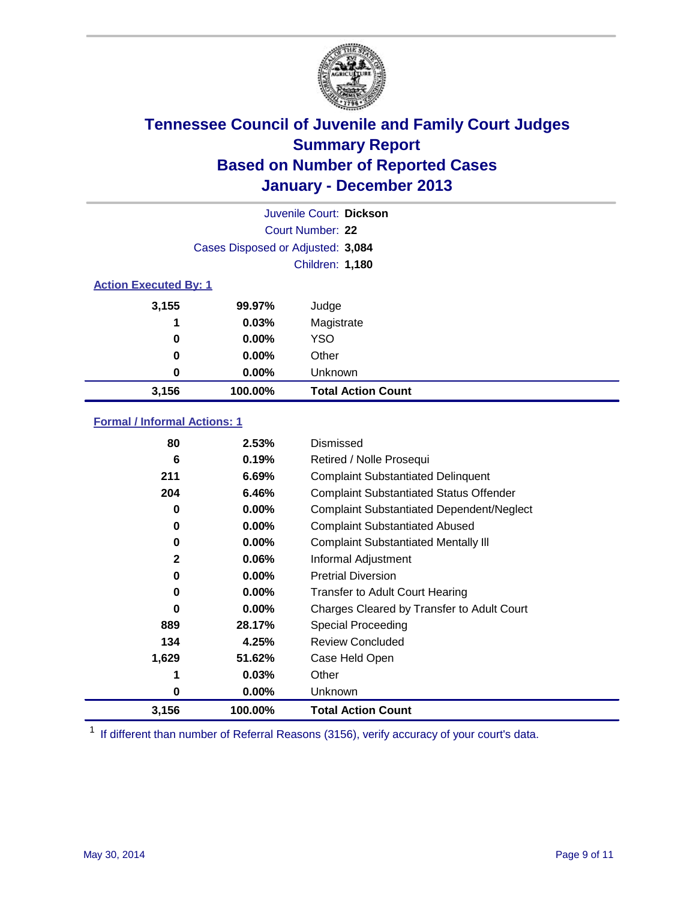

|                              | Juvenile Court: Dickson           |                           |  |  |
|------------------------------|-----------------------------------|---------------------------|--|--|
|                              | Court Number: 22                  |                           |  |  |
|                              | Cases Disposed or Adjusted: 3,084 |                           |  |  |
|                              |                                   | Children: 1,180           |  |  |
| <b>Action Executed By: 1</b> |                                   |                           |  |  |
| 3,155                        | 99.97%                            | Judge                     |  |  |
| 1                            | 0.03%                             | Magistrate                |  |  |
| 0                            | $0.00\%$                          | <b>YSO</b>                |  |  |
| 0                            | $0.00\%$                          | Other                     |  |  |
| 0                            | $0.00\%$                          | Unknown                   |  |  |
| 3,156                        | 100.00%                           | <b>Total Action Count</b> |  |  |

### **Formal / Informal Actions: 1**

| 80           | 2.53%    | Dismissed                                        |
|--------------|----------|--------------------------------------------------|
| 6            | 0.19%    | Retired / Nolle Prosequi                         |
| 211          | 6.69%    | <b>Complaint Substantiated Delinquent</b>        |
| 204          | 6.46%    | <b>Complaint Substantiated Status Offender</b>   |
| 0            | 0.00%    | <b>Complaint Substantiated Dependent/Neglect</b> |
| 0            | 0.00%    | <b>Complaint Substantiated Abused</b>            |
| 0            | $0.00\%$ | <b>Complaint Substantiated Mentally III</b>      |
| $\mathbf{2}$ | $0.06\%$ | Informal Adjustment                              |
| 0            | $0.00\%$ | <b>Pretrial Diversion</b>                        |
| 0            | $0.00\%$ | <b>Transfer to Adult Court Hearing</b>           |
| 0            | $0.00\%$ | Charges Cleared by Transfer to Adult Court       |
| 889          | 28.17%   | Special Proceeding                               |
| 134          | 4.25%    | <b>Review Concluded</b>                          |
| 1,629        | 51.62%   | Case Held Open                                   |
|              | 0.03%    | Other                                            |
| 0            | $0.00\%$ | Unknown                                          |
| 3,156        | 100.00%  | <b>Total Action Count</b>                        |

<sup>1</sup> If different than number of Referral Reasons (3156), verify accuracy of your court's data.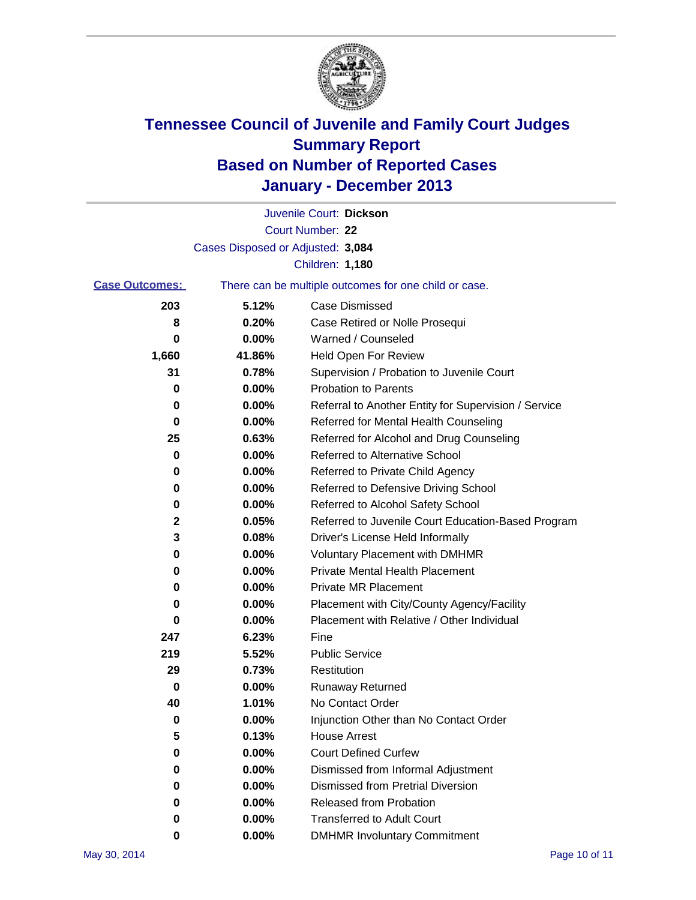

|                       |                                   | Juvenile Court: Dickson                               |
|-----------------------|-----------------------------------|-------------------------------------------------------|
|                       |                                   | Court Number: 22                                      |
|                       | Cases Disposed or Adjusted: 3,084 |                                                       |
|                       |                                   | Children: 1,180                                       |
| <b>Case Outcomes:</b> |                                   | There can be multiple outcomes for one child or case. |
| 203                   | 5.12%                             | Case Dismissed                                        |
| 8                     | 0.20%                             | Case Retired or Nolle Prosequi                        |
| 0                     | 0.00%                             | Warned / Counseled                                    |
| 1,660                 | 41.86%                            | Held Open For Review                                  |
| 31                    | 0.78%                             | Supervision / Probation to Juvenile Court             |
| 0                     | 0.00%                             | <b>Probation to Parents</b>                           |
| 0                     | 0.00%                             | Referral to Another Entity for Supervision / Service  |
| 0                     | 0.00%                             | Referred for Mental Health Counseling                 |
| 25                    | 0.63%                             | Referred for Alcohol and Drug Counseling              |
| 0                     | 0.00%                             | Referred to Alternative School                        |
| 0                     | 0.00%                             | Referred to Private Child Agency                      |
| 0                     | 0.00%                             | Referred to Defensive Driving School                  |
| 0                     | 0.00%                             | Referred to Alcohol Safety School                     |
| 2                     | 0.05%                             | Referred to Juvenile Court Education-Based Program    |
| 3                     | 0.08%                             | Driver's License Held Informally                      |
| 0                     | 0.00%                             | <b>Voluntary Placement with DMHMR</b>                 |
| 0                     | 0.00%                             | <b>Private Mental Health Placement</b>                |
| 0                     | 0.00%                             | <b>Private MR Placement</b>                           |
| 0                     | 0.00%                             | Placement with City/County Agency/Facility            |
| 0                     | 0.00%                             | Placement with Relative / Other Individual            |
| 247                   | 6.23%                             | Fine                                                  |
| 219                   | 5.52%                             | <b>Public Service</b>                                 |
| 29                    | 0.73%                             | Restitution                                           |
| 0                     | 0.00%                             | <b>Runaway Returned</b>                               |
| 40                    | 1.01%                             | No Contact Order                                      |
| 0                     | 0.00%                             | Injunction Other than No Contact Order                |
| 5                     | 0.13%                             | <b>House Arrest</b>                                   |
| 0                     | 0.00%                             | <b>Court Defined Curfew</b>                           |
| 0                     | 0.00%                             | Dismissed from Informal Adjustment                    |
| 0                     | 0.00%                             | <b>Dismissed from Pretrial Diversion</b>              |
| 0                     | 0.00%                             | Released from Probation                               |
| 0                     | 0.00%                             | <b>Transferred to Adult Court</b>                     |
| 0                     | $0.00\%$                          | <b>DMHMR Involuntary Commitment</b>                   |